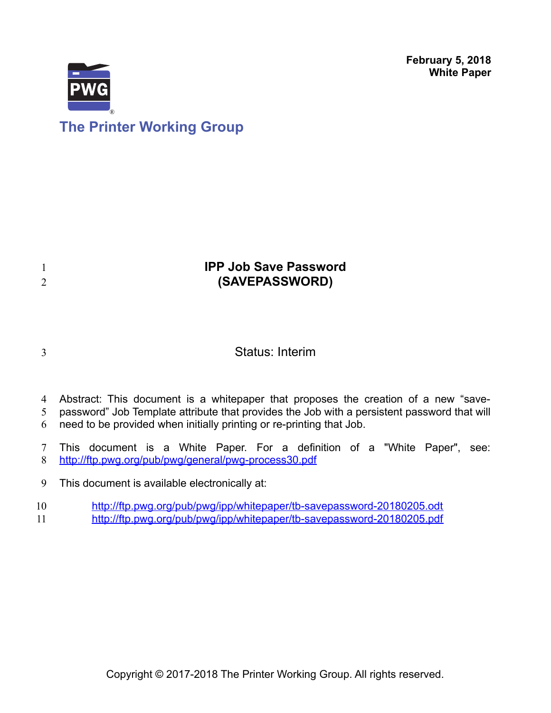**February 5, 2018 White Paper**



# **The Printer Working Group**

## **IPP Job Save Password (SAVEPASSWORD)**

3

1 2

Status: Interim

- Abstract: This document is a whitepaper that proposes the creation of a new "save-4
- password" Job Template attribute that provides the Job with a persistent password that will 5
- need to be provided when initially printing or re-printing that Job. 6
- This document is a White Paper. For a definition of a "White Paper", see: <http://ftp.pwg.org/pub/pwg/general/pwg-process30.pdf> 7 8
- This document is available electronically at: 9
- <http://ftp.pwg.org/pub/pwg/ipp/whitepaper/tb-savepassword-20180205.odt> 10
- <http://ftp.pwg.org/pub/pwg/ipp/whitepaper/tb-savepassword-20180205.pdf> 11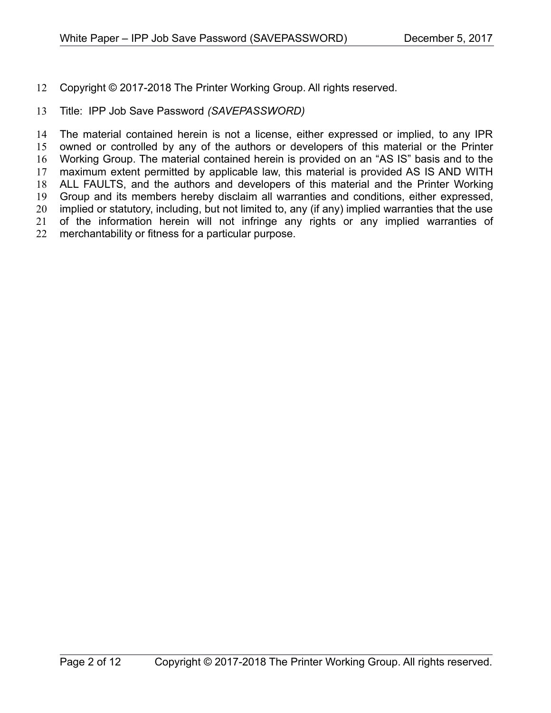Copyright © 2017-2018 The Printer Working Group. All rights reserved. 12

#### Title: IPP Job Save Password *(SAVEPASSWORD)* 13

The material contained herein is not a license, either expressed or implied, to any IPR owned or controlled by any of the authors or developers of this material or the Printer Working Group. The material contained herein is provided on an "AS IS" basis and to the maximum extent permitted by applicable law, this material is provided AS IS AND WITH ALL FAULTS, and the authors and developers of this material and the Printer Working Group and its members hereby disclaim all warranties and conditions, either expressed, implied or statutory, including, but not limited to, any (if any) implied warranties that the use of the information herein will not infringe any rights or any implied warranties of merchantability or fitness for a particular purpose. 14 15 16 17 18 19 20 21 22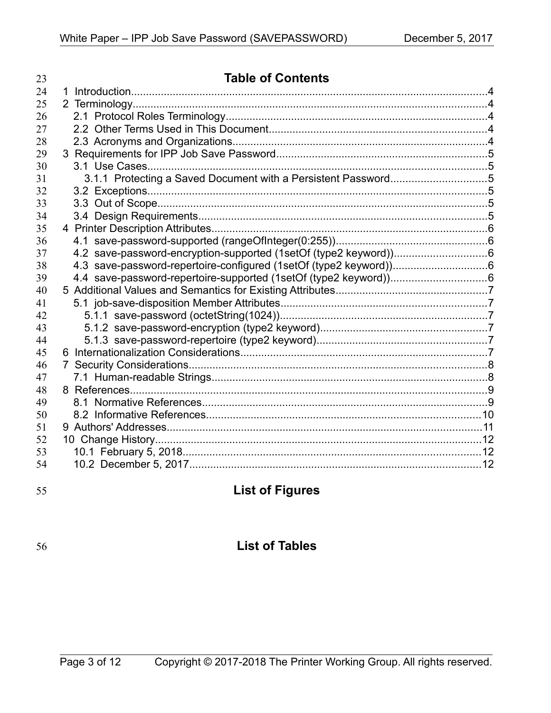| 23 | <b>Table of Contents</b>                                      |  |
|----|---------------------------------------------------------------|--|
| 24 |                                                               |  |
| 25 |                                                               |  |
| 26 |                                                               |  |
| 27 |                                                               |  |
| 28 |                                                               |  |
| 29 |                                                               |  |
| 30 |                                                               |  |
| 31 | 3.1.1 Protecting a Saved Document with a Persistent Password5 |  |
| 32 |                                                               |  |
| 33 |                                                               |  |
| 34 |                                                               |  |
| 35 |                                                               |  |
| 36 |                                                               |  |
| 37 |                                                               |  |
| 38 |                                                               |  |
| 39 |                                                               |  |
| 40 |                                                               |  |
| 41 |                                                               |  |
| 42 |                                                               |  |
| 43 |                                                               |  |
| 44 |                                                               |  |
| 45 |                                                               |  |
| 46 |                                                               |  |
| 47 |                                                               |  |
| 48 |                                                               |  |
| 49 |                                                               |  |
| 50 |                                                               |  |
| 51 |                                                               |  |
| 52 |                                                               |  |
| 53 |                                                               |  |
| 54 |                                                               |  |

55

# **List of Figures**

56

## **List of Tables**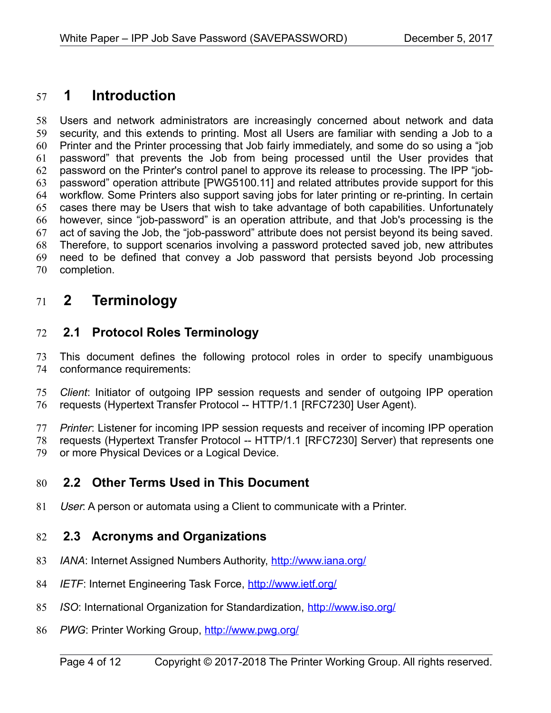## **1 Introduction** 57

Users and network administrators are increasingly concerned about network and data security, and this extends to printing. Most all Users are familiar with sending a Job to a Printer and the Printer processing that Job fairly immediately, and some do so using a "job password" that prevents the Job from being processed until the User provides that password on the Printer's control panel to approve its release to processing. The IPP "jobpassword" operation attribute [\[PWG5100.11\]](#page-8-0) and related attributes provide support for this workflow. Some Printers also support saving jobs for later printing or re-printing. In certain cases there may be Users that wish to take advantage of both capabilities. Unfortunately however, since "job-password" is an operation attribute, and that Job's processing is the act of saving the Job, the "job-password" attribute does not persist beyond its being saved. Therefore, to support scenarios involving a password protected saved job, new attributes need to be defined that convey a Job password that persists beyond Job processing completion. 58 59 60 61 62 63 64 65 66 67 68 69 70

## **2 Terminology** 71

#### **2.1 Protocol Roles Terminology** 72

This document defines the following protocol roles in order to specify unambiguous conformance requirements: 73 74

*Client*: Initiator of outgoing IPP session requests and sender of outgoing IPP operation requests (Hypertext Transfer Protocol -- HTTP/1.1 [\[RFC7230\]](#page-9-0) User Agent). 75 76

*Printer*: Listener for incoming IPP session requests and receiver of incoming IPP operation requests (Hypertext Transfer Protocol -- HTTP/1.1 [\[RFC7230\]](#page-9-0) Server) that represents one or more Physical Devices or a Logical Device. 77 78 79

#### **2.2 Other Terms Used in This Document** 80

User: A person or automata using a Client to communicate with a Printer. 81

#### **2.3 Acronyms and Organizations** 82

- *IANA*: Internet Assigned Numbers Authority,<http://www.iana.org/> 83
- *IETF*: Internet Engineering Task Force,<http://www.ietf.org/> 84
- *ISO*: International Organization for Standardization,<http://www.iso.org/> 85
- PWG: Printer Working Group,<http://www.pwg.org/> 86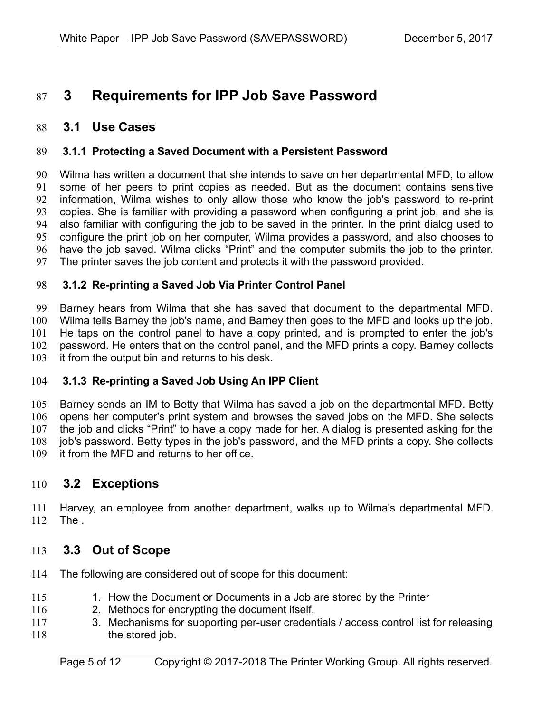## **3 Requirements for IPP Job Save Password** 87

#### **3.1 Use Cases** 88

#### **3.1.1 Protecting a Saved Document with a Persistent Password** 89

Wilma has written a document that she intends to save on her departmental MFD, to allow some of her peers to print copies as needed. But as the document contains sensitive information, Wilma wishes to only allow those who know the job's password to re-print copies. She is familiar with providing a password when configuring a print job, and she is also familiar with configuring the job to be saved in the printer. In the print dialog used to configure the print job on her computer, Wilma provides a password, and also chooses to have the job saved. Wilma clicks "Print" and the computer submits the job to the printer. The printer saves the job content and protects it with the password provided. 90 91 92 93 94 95 96 97

#### **3.1.2 Re-printing a Saved Job Via Printer Control Panel** 98

Barney hears from Wilma that she has saved that document to the departmental MFD. Wilma tells Barney the job's name, and Barney then goes to the MFD and looks up the job. He taps on the control panel to have a copy printed, and is prompted to enter the job's password. He enters that on the control panel, and the MFD prints a copy. Barney collects it from the output bin and returns to his desk. 99 100 101 102 103

#### **3.1.3 Re-printing a Saved Job Using An IPP Client** 104

Barney sends an IM to Betty that Wilma has saved a job on the departmental MFD. Betty opens her computer's print system and browses the saved jobs on the MFD. She selects the job and clicks "Print" to have a copy made for her. A dialog is presented asking for the job's password. Betty types in the job's password, and the MFD prints a copy. She collects it from the MFD and returns to her office. 105 106 107 108 109

#### **3.2 Exceptions** 110

Harvey, an employee from another department, walks up to Wilma's departmental MFD. The . 111 112

#### **3.3 Out of Scope** 113

- The following are considered out of scope for this document: 114
- 1. How the Document or Documents in a Job are stored by the Printer 115
- 2. Methods for encrypting the document itself. 116
- 3. Mechanisms for supporting per-user credentials / access control list for releasing the stored job. 117 118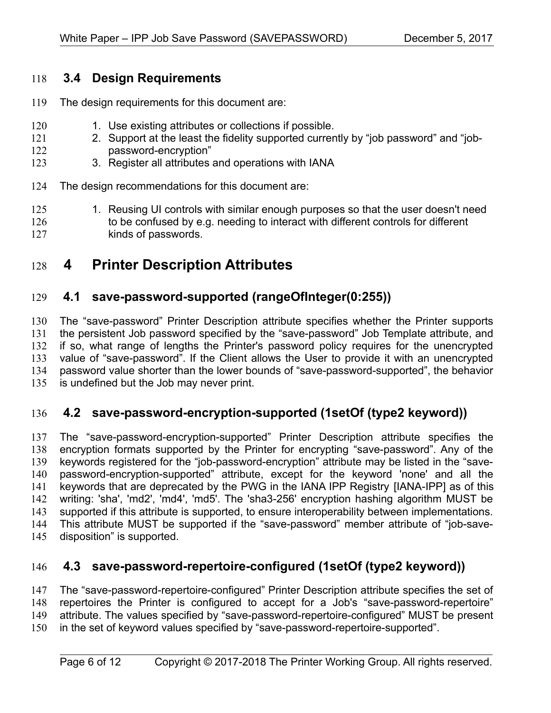## **3.4 Design Requirements** 118

- The design requirements for this document are: 119
- 1. Use existing attributes or collections if possible. 120
- 2. Support at the least the fidelity supported currently by "job password" and "jobpassword-encryption" 121 122
- 3. Register all attributes and operations with IANA 123
- The design recommendations for this document are: 124
- 1. Reusing UI controls with similar enough purposes so that the user doesn't need to be confused by e.g. needing to interact with different controls for different kinds of passwords. 125 126 127
- **4 Printer Description Attributes** 128

#### **4.1 save-password-supported (rangeOfInteger(0:255))** 129

The "save-password" Printer Description attribute specifies whether the Printer supports the persistent Job password specified by the "save-password" Job Template attribute, and if so, what range of lengths the Printer's password policy requires for the unencrypted value of "save-password". If the Client allows the User to provide it with an unencrypted password value shorter than the lower bounds of "save-password-supported", the behavior is undefined but the Job may never print. 130 131 132 133 134 135

#### **4.2 save-password-encryption-supported (1setOf (type2 keyword))** 136

The "save-password-encryption-supported" Printer Description attribute specifies the encryption formats supported by the Printer for encrypting "save-password". Any of the keywords registered for the "job-password-encryption" attribute may be listed in the "savepassword-encryption-supported" attribute, except for the keyword 'none' and all the keywords that are deprecated by the PWG in the IANA IPP Registry [\[IANA-IPP\]](#page-10-0) as of this writing: 'sha', 'md2', 'md4', 'md5'. The 'sha3-256' encryption hashing algorithm MUST be supported if this attribute is supported, to ensure interoperability between implementations. This attribute MUST be supported if the "save-password" member attribute of "job-savedisposition" is supported. 137 138 139 140 141 142 143 144 145

#### **4.3 save-password-repertoire-configured (1setOf (type2 keyword))** 146

The "save-password-repertoire-configured" Printer Description attribute specifies the set of repertoires the Printer is configured to accept for a Job's "save-password-repertoire" attribute. The values specified by "save-password-repertoire-configured" MUST be present in the set of keyword values specified by "save-password-repertoire-supported". 147 148 149 150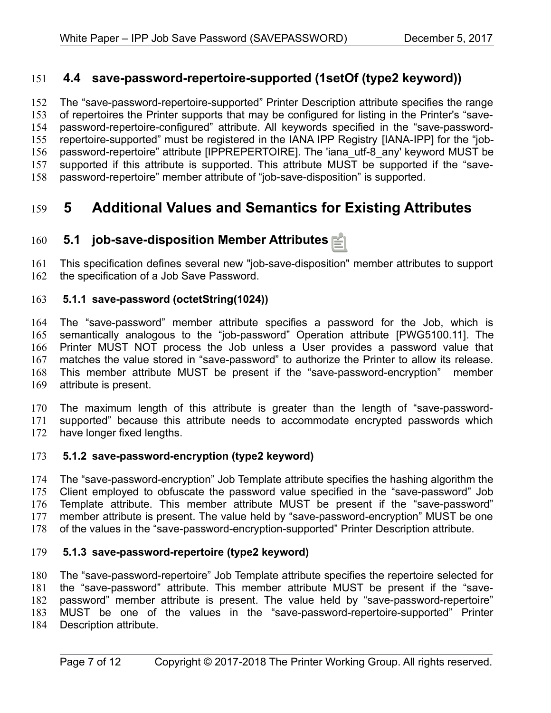### **4.4 save-password-repertoire-supported (1setOf (type2 keyword))** 151

The "save-password-repertoire-supported" Printer Description attribute specifies the range of repertoires the Printer supports that may be configured for listing in the Printer's "savepassword-repertoire-configured" attribute. All keywords specified in the "save-passwordrepertoire-supported" must be registered in the IANA IPP Registry [\[IANA-IPP\]](#page-10-0) for the "jobpassword-repertoire" attribute [\[IPPREPERTOIRE\].](#page-8-1) The 'iana\_utf-8\_any' keyword MUST be supported if this attribute is supported. This attribute MUST be supported if the "savepassword-repertoire" member attribute of "job-save-disposition" is supported. 152 153 154 155 156 157 158

## **5 Additional Values and Semantics for Existing Attributes** 159

#### **5.1 job-save-disposition Member Attributes** 160

This specification defines several new "job-save-disposition" member attributes to support the specification of a Job Save Password. 161 162

#### **5.1.1 save-password (octetString(1024))** 163

The "save-password" member attribute specifies a password for the Job, which is semantically analogous to the "job-password" Operation attribute [\[PWG5100.11\].](#page-8-0) The Printer MUST NOT process the Job unless a User provides a password value that matches the value stored in "save-password" to authorize the Printer to allow its release. This member attribute MUST be present if the "save-password-encryption" member attribute is present. 164 165 166 167 168 169

The maximum length of this attribute is greater than the length of "save-passwordsupported" because this attribute needs to accommodate encrypted passwords which have longer fixed lengths. 170 171 172

#### **5.1.2 save-password-encryption (type2 keyword)** 173

The "save-password-encryption" Job Template attribute specifies the hashing algorithm the Client employed to obfuscate the password value specified in the "save-password" Job Template attribute. This member attribute MUST be present if the "save-password" member attribute is present. The value held by "save-password-encryption" MUST be one of the values in the "save-password-encryption-supported" Printer Description attribute. 174 175 176 177 178

#### **5.1.3 save-password-repertoire (type2 keyword)** 179

The "save-password-repertoire" Job Template attribute specifies the repertoire selected for the "save-password" attribute. This member attribute MUST be present if the "savepassword" member attribute is present. The value held by "save-password-repertoire" MUST be one of the values in the "save-password-repertoire-supported" Printer Description attribute. 180 181 182 183 184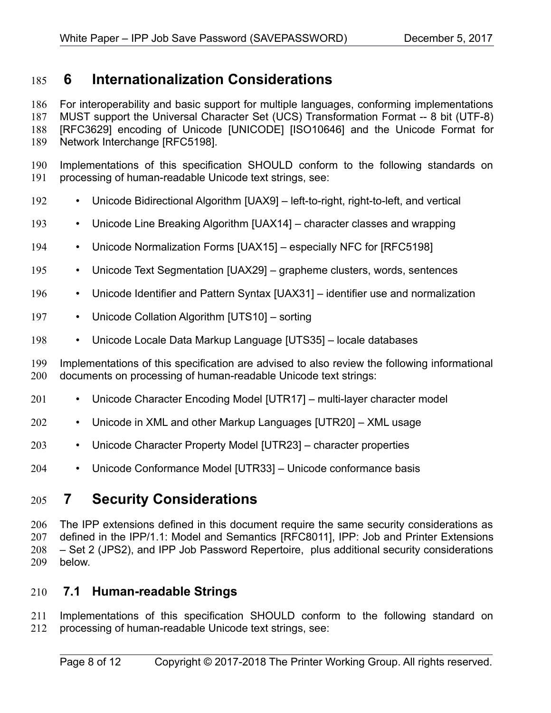## **6 Internationalization Considerations** 185

For interoperability and basic support for multiple languages, conforming implementations MUST support the Universal Character Set (UCS) Transformation Format -- 8 bit (UTF-8) [RFC3629] encoding of Unicode [\[UNICODE\]](#page-9-10) [\[ISO10646\]](#page-8-2) and the Unicode Format for Network Interchange [\[RFC5198\].](#page-9-6) 186 187 188 189

- Implementations of this specification SHOULD conform to the following standards on processing of human-readable Unicode text strings, see: 190 191
- Unicode Bidirectional Algorithm [\[UAX9\]](#page-9-9)  left-to-right, right-to-left, and vertical 192
- Unicode Line Breaking Algorithm [\[UAX14\]](#page-9-8)  character classes and wrapping 193
- Unicode Normalization Forms [\[UAX15\]](#page-9-7)  especially NFC for [\[RFC5198\]](#page-9-6) 194
- Unicode Text Segmentation [\[UAX29\]](#page-9-5)  grapheme clusters, words, sentences 195
- Unicode Identifier and Pattern Syntax [\[UAX31\]](#page-9-4)  identifier use and normalization 196
- Unicode Collation Algorithm [\[UTS10\]](#page-9-3)  sorting 197
- Unicode Locale Data Markup Language [\[UTS35\]](#page-9-2)  locale databases 198

Implementations of this specification are advised to also review the following informational documents on processing of human-readable Unicode text strings: 199 200

- Unicode Character Encoding Model [\[UTR17\]](#page-10-4)  multi-layer character model 201
- Unicode in XML and other Markup Languages [\[UTR20\]](#page-10-3)  XML usage 202
- Unicode Character Property Model [\[UTR23\]](#page-10-2)  character properties 203
- Unicode Conformance Model [\[UTR33\]](#page-10-1)  Unicode conformance basis 204

## **7 Security Considerations** 205

The IPP extensions defined in this document require the same security considerations as defined in the IPP/1.1: Model and Semantics [\[RFC8011\],](#page-9-1) IPP: Job and Printer Extensions – Set 2 (JPS2), and IPP Job Password Repertoire, plus additional security considerations below. 206 207 208 209

#### **7.1 Human-readable Strings**  210

Implementations of this specification SHOULD conform to the following standard on processing of human-readable Unicode text strings, see: 211 212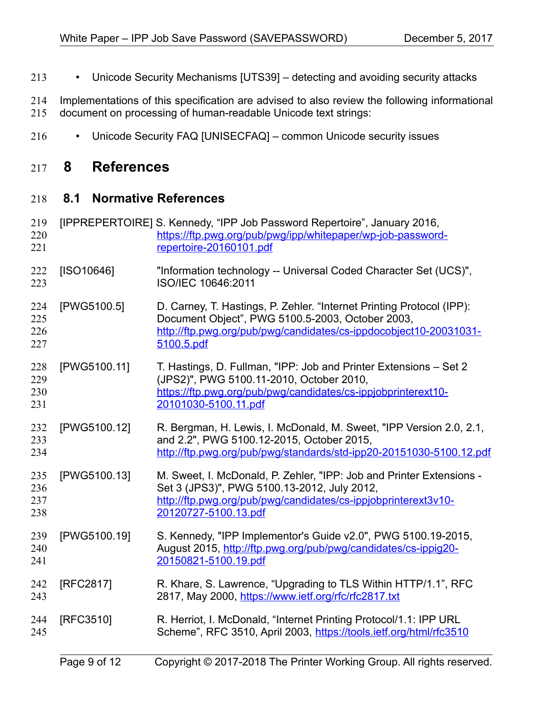- Unicode Security Mechanisms [\[UTS39\]](#page-9-11)  detecting and avoiding security attacks 213
- Implementations of this specification are advised to also review the following informational document on processing of human-readable Unicode text strings: 214 215
- Unicode Security FAQ [\[UNISECFAQ\]](#page-10-5)  common Unicode security issues 216

## **8 References** 217

#### **8.1 Normative References** 218

<span id="page-8-2"></span><span id="page-8-1"></span><span id="page-8-0"></span>

|                          | Page 9 of 12 | Copyright © 2017-2018 The Printer Working Group. All rights reserved.                                                                                                                                         |
|--------------------------|--------------|---------------------------------------------------------------------------------------------------------------------------------------------------------------------------------------------------------------|
| 244<br>245               | [RFC3510]    | R. Herriot, I. McDonald, "Internet Printing Protocol/1.1: IPP URL<br>Scheme", RFC 3510, April 2003, https://tools.ietf.org/html/rfc3510                                                                       |
| 242<br>243               | [RFC2817]    | R. Khare, S. Lawrence, "Upgrading to TLS Within HTTP/1.1", RFC<br>2817, May 2000, https://www.ietf.org/rfc/rfc2817.txt                                                                                        |
| 239<br>240<br>241        | [PWG5100.19] | S. Kennedy, "IPP Implementor's Guide v2.0", PWG 5100.19-2015,<br>August 2015, http://ftp.pwg.org/pub/pwg/candidates/cs-ippig20-<br>20150821-5100.19.pdf                                                       |
| 235<br>236<br>237<br>238 | [PWG5100.13] | M. Sweet, I. McDonald, P. Zehler, "IPP: Job and Printer Extensions -<br>Set 3 (JPS3)", PWG 5100.13-2012, July 2012,<br>http://ftp.pwg.org/pub/pwg/candidates/cs-ippjobprinterext3v10-<br>20120727-5100.13.pdf |
| 232<br>233<br>234        | [PWG5100.12] | R. Bergman, H. Lewis, I. McDonald, M. Sweet, "IPP Version 2.0, 2.1,<br>and 2.2", PWG 5100.12-2015, October 2015,<br>http://ftp.pwg.org/pub/pwg/standards/std-ipp20-20151030-5100.12.pdf                       |
| 228<br>229<br>230<br>231 | [PWG5100.11] | T. Hastings, D. Fullman, "IPP: Job and Printer Extensions - Set 2<br>(JPS2)", PWG 5100.11-2010, October 2010,<br>https://ftp.pwg.org/pub/pwg/candidates/cs-ippjobprinterext10-<br>20101030-5100.11.pdf        |
| 224<br>225<br>226<br>227 | [PWG5100.5]  | D. Carney, T. Hastings, P. Zehler. "Internet Printing Protocol (IPP):<br>Document Object", PWG 5100.5-2003, October 2003,<br>http://ftp.pwg.org/pub/pwg/candidates/cs-ippdocobject10-20031031-<br>5100.5.pdf  |
| 222<br>223               | [ISO10646]   | "Information technology -- Universal Coded Character Set (UCS)",<br>ISO/IEC 10646:2011                                                                                                                        |
| 219<br>220<br>221        |              | [IPPREPERTOIRE] S. Kennedy, "IPP Job Password Repertoire", January 2016,<br>https://ftp.pwg.org/pub/pwg/ipp/whitepaper/wp-job-password-<br>repertoire-20160101.pdf                                            |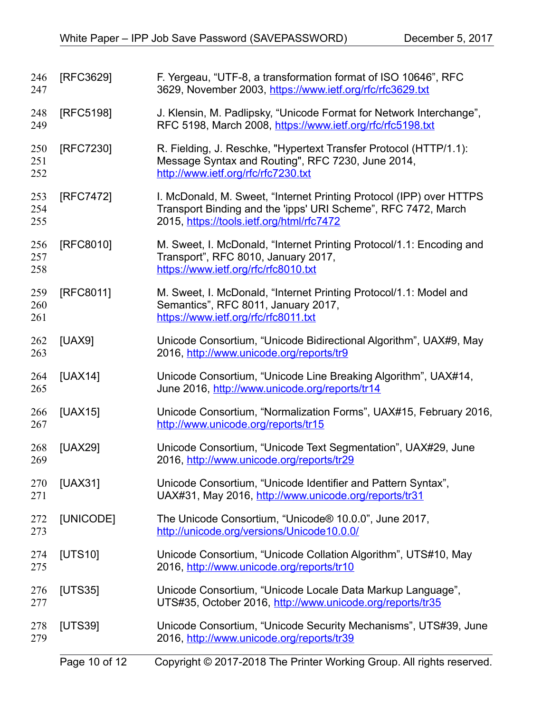<span id="page-9-11"></span><span id="page-9-10"></span><span id="page-9-9"></span><span id="page-9-8"></span><span id="page-9-7"></span><span id="page-9-6"></span><span id="page-9-5"></span><span id="page-9-4"></span><span id="page-9-3"></span><span id="page-9-2"></span><span id="page-9-1"></span><span id="page-9-0"></span>

| 246<br>247        | [RFC3629] | F. Yergeau, "UTF-8, a transformation format of ISO 10646", RFC<br>3629, November 2003, https://www.ietf.org/rfc/rfc3629.txt                                                       |
|-------------------|-----------|-----------------------------------------------------------------------------------------------------------------------------------------------------------------------------------|
| 248<br>249        | [RFC5198] | J. Klensin, M. Padlipsky, "Unicode Format for Network Interchange",<br>RFC 5198, March 2008, https://www.ietf.org/rfc/rfc5198.txt                                                 |
| 250<br>251<br>252 | [RFC7230] | R. Fielding, J. Reschke, "Hypertext Transfer Protocol (HTTP/1.1):<br>Message Syntax and Routing", RFC 7230, June 2014,<br>http://www.ietf.org/rfc/rfc7230.txt                     |
| 253<br>254<br>255 | [RFC7472] | I. McDonald, M. Sweet, "Internet Printing Protocol (IPP) over HTTPS<br>Transport Binding and the 'ipps' URI Scheme", RFC 7472, March<br>2015, https://tools.ietf.org/html/rfc7472 |
| 256<br>257<br>258 | [RFC8010] | M. Sweet, I. McDonald, "Internet Printing Protocol/1.1: Encoding and<br>Transport", RFC 8010, January 2017,<br>https://www.ietf.org/rfc/rfc8010.txt                               |
| 259<br>260<br>261 | [RFC8011] | M. Sweet, I. McDonald, "Internet Printing Protocol/1.1: Model and<br>Semantics", RFC 8011, January 2017,<br>https://www.ietf.org/rfc/rfc8011.txt                                  |
| 262<br>263        | [UAX9]    | Unicode Consortium, "Unicode Bidirectional Algorithm", UAX#9, May<br>2016, http://www.unicode.org/reports/tr9                                                                     |
| 264<br>265        | [UAX14]   | Unicode Consortium, "Unicode Line Breaking Algorithm", UAX#14,<br>June 2016, http://www.unicode.org/reports/tr14                                                                  |
| 266<br>267        | [UAX15]   | Unicode Consortium, "Normalization Forms", UAX#15, February 2016,<br>http://www.unicode.org/reports/tr15                                                                          |
| 268<br>269        | [UAX29]   | Unicode Consortium, "Unicode Text Segmentation", UAX#29, June<br>2016, http://www.unicode.org/reports/tr29                                                                        |
| 270<br>271        | [UAX31]   | Unicode Consortium, "Unicode Identifier and Pattern Syntax",<br>UAX#31, May 2016, http://www.unicode.org/reports/tr31                                                             |
| 272<br>273        | [UNICODE] | The Unicode Consortium, "Unicode® 10.0.0", June 2017,<br>http://unicode.org/versions/Unicode10.0.0/                                                                               |
| 274<br>275        | [UTS10]   | Unicode Consortium, "Unicode Collation Algorithm", UTS#10, May<br>2016, http://www.unicode.org/reports/tr10                                                                       |
| 276<br>277        | [UTS35]   | Unicode Consortium, "Unicode Locale Data Markup Language",<br>UTS#35, October 2016, http://www.unicode.org/reports/tr35                                                           |
| 278<br>279        | [UTS39]   | Unicode Consortium, "Unicode Security Mechanisms", UTS#39, June<br>2016, http://www.unicode.org/reports/tr39                                                                      |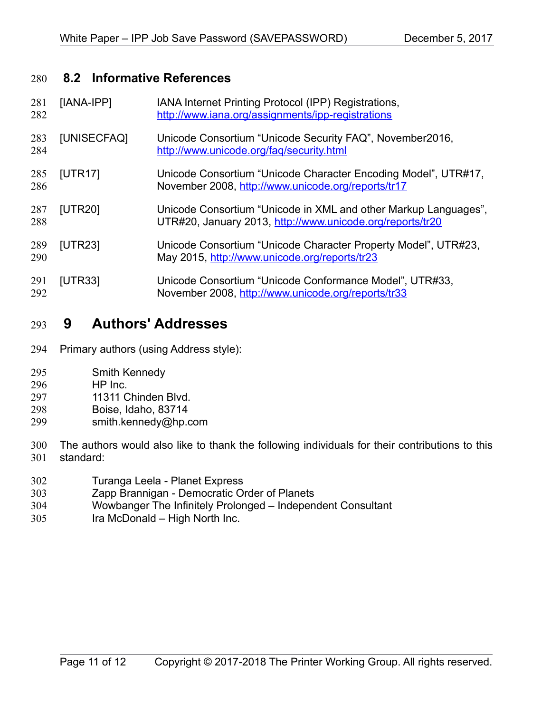### **8.2 Informative References** 280

<span id="page-10-5"></span><span id="page-10-4"></span><span id="page-10-3"></span><span id="page-10-0"></span>

| 281<br>282 | [IANA-IPP]  | IANA Internet Printing Protocol (IPP) Registrations,<br>http://www.iana.org/assignments/ipp-registrations                    |
|------------|-------------|------------------------------------------------------------------------------------------------------------------------------|
| 283<br>284 | [UNISECFAQ] | Unicode Consortium "Unicode Security FAQ", November 2016,<br>http://www.unicode.org/fag/security.html                        |
| 285<br>286 | [UTR17]     | Unicode Consortium "Unicode Character Encoding Model", UTR#17,<br>November 2008, http://www.unicode.org/reports/tr17         |
| 287<br>288 | [UTR20]     | Unicode Consortium "Unicode in XML and other Markup Languages",<br>UTR#20, January 2013, http://www.unicode.org/reports/tr20 |
| 289<br>290 | [UTR23]     | Unicode Consortium "Unicode Character Property Model", UTR#23,<br>May 2015, http://www.unicode.org/reports/tr23              |
| 291<br>292 | [UTR33]     | Unicode Consortium "Unicode Conformance Model", UTR#33,<br>November 2008, http://www.unicode.org/reports/tr33                |

## <span id="page-10-2"></span><span id="page-10-1"></span> **9 Authors' Addresses** 293

- Primary authors (using Address style): 294
- Smith Kennedy 295
- HP Inc. 296
- 11311 Chinden Blvd. 297
- Boise, Idaho, 83714 298
- smith.kennedy@hp.com 299
- The authors would also like to thank the following individuals for their contributions to this standard: 300 301
- Turanga Leela Planet Express 302
- Zapp Brannigan Democratic Order of Planets 303
- Wowbanger The Infinitely Prolonged Independent Consultant 304
- Ira McDonald High North Inc. 305